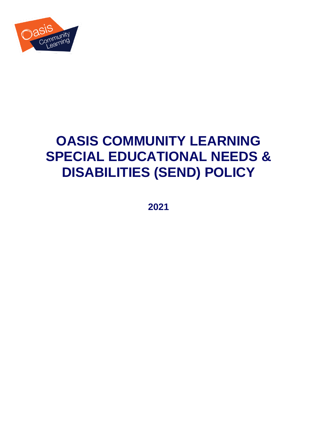

# **OASIS COMMUNITY LEARNING SPECIAL EDUCATIONAL NEEDS & DISABILITIES (SEND) POLICY**

**2021**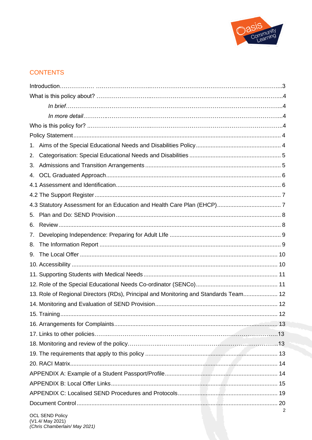

## **CONTENTS**

| 1. |                                                                                      |   |
|----|--------------------------------------------------------------------------------------|---|
| 2. |                                                                                      |   |
| 3. |                                                                                      |   |
| 4. |                                                                                      |   |
|    |                                                                                      |   |
|    |                                                                                      |   |
|    |                                                                                      |   |
| 5. |                                                                                      |   |
| 6. |                                                                                      |   |
| 7. |                                                                                      |   |
| 8. |                                                                                      |   |
| 9. |                                                                                      |   |
|    |                                                                                      |   |
|    |                                                                                      |   |
|    |                                                                                      |   |
|    | 13. Role of Regional Directors (RDs), Principal and Monitoring and Standards Team 12 |   |
|    |                                                                                      |   |
|    | ……… 12                                                                               |   |
|    |                                                                                      |   |
|    |                                                                                      |   |
|    |                                                                                      |   |
|    |                                                                                      |   |
|    |                                                                                      |   |
|    |                                                                                      |   |
|    |                                                                                      |   |
|    |                                                                                      |   |
|    |                                                                                      |   |
|    |                                                                                      | 2 |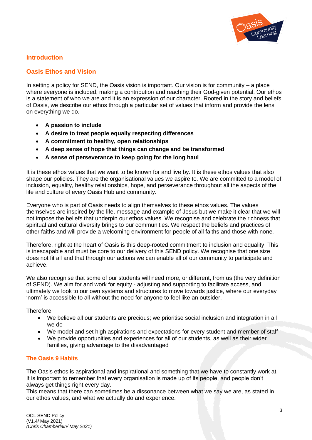

## **Introduction**

## **Oasis Ethos and Vision**

In setting a policy for SEND, the Oasis vision is important. Our vision is for community  $-$  a place where everyone is included, making a contribution and reaching their God-given potential. Our ethos is a statement of who we are and it is an expression of our character. Rooted in the story and beliefs of Oasis, we describe our ethos through a particular set of values that inform and provide the lens on everything we do.

- **A passion to include**
- **A desire to treat people equally respecting differences**
- **A commitment to healthy, open relationships**
- **A deep sense of hope that things can change and be transformed**
- **A sense of perseverance to keep going for the long haul**

It is these ethos values that we want to be known for and live by. It is these ethos values that also shape our policies. They are the organisational values we aspire to. We are committed to a model of inclusion, equality, healthy relationships, hope, and perseverance throughout all the aspects of the life and culture of every Oasis Hub and community.

Everyone who is part of Oasis needs to align themselves to these ethos values. The values themselves are inspired by the life, message and example of Jesus but we make it clear that we will not impose the beliefs that underpin our ethos values. We recognise and celebrate the richness that spiritual and cultural diversity brings to our communities. We respect the beliefs and practices of other faiths and will provide a welcoming environment for people of all faiths and those with none.

Therefore, right at the heart of Oasis is this deep-rooted commitment to inclusion and equality. This is inescapable and must be core to our delivery of this SEND policy. We recognise that one size does not fit all and that through our actions we can enable all of our community to participate and achieve.

We also recognise that some of our students will need more, or different, from us (the very definition of SEND). We aim for and work for equity - adjusting and supporting to facilitate access, and ultimately we look to our own systems and structures to move towards justice, where our everyday 'norm' is accessible to all without the need for anyone to feel like an outsider.

#### **Therefore**

- We believe all our students are precious; we prioritise social inclusion and integration in all we do
- We model and set high aspirations and expectations for every student and member of staff
- We provide opportunities and experiences for all of our students, as well as their wider families, giving advantage to the disadvantaged

#### **The Oasis 9 Habits**

The Oasis ethos is aspirational and inspirational and something that we have to constantly work at. It is important to remember that every organisation is made up of its people, and people don't always get things right every day.

This means that there can sometimes be a dissonance between what we say we are, as stated in our ethos values, and what we actually do and experience.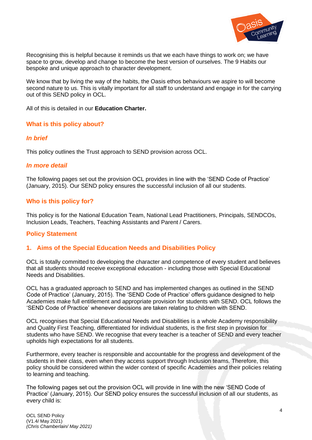

Recognising this is helpful because it reminds us that we each have things to work on; we have space to grow, develop and change to become the best version of ourselves. The 9 Habits our bespoke and unique approach to character development.

We know that by living the way of the habits, the Oasis ethos behaviours we aspire to will become second nature to us. This is vitally important for all staff to understand and engage in for the carrying out of this SEND policy in OCL.

All of this is detailed in our **Education Charter.**

#### **What is this policy about?**

#### *In brief*

This policy outlines the Trust approach to SEND provision across OCL.

#### *In more detail*

The following pages set out the provision OCL provides in line with the 'SEND Code of Practice' (January, 2015). Our SEND policy ensures the successful inclusion of all our students.

#### **Who is this policy for?**

This policy is for the National Education Team, National Lead Practitioners, Principals, SENDCOs, Inclusion Leads, Teachers, Teaching Assistants and Parent / Carers.

#### <span id="page-3-0"></span>**Policy Statement**

#### **1. Aims of the Special Education Needs and Disabilities Policy**

OCL is totally committed to developing the character and competence of every student and believes that all students should receive exceptional education - including those with Special Educational Needs and Disabilities.

OCL has a graduated approach to SEND and has implemented changes as outlined in the SEND Code of Practice' (January, 2015). The 'SEND Code of Practice' offers guidance designed to help Academies make full entitlement and appropriate provision for students with SEND. OCL follows the 'SEND Code of Practice' whenever decisions are taken relating to children with SEND.

OCL recognises that Special Educational Needs and Disabilities is a whole Academy responsibility and Quality First Teaching, differentiated for individual students, is the first step in provision for students who have SEND. We recognise that every teacher is a teacher of SEND and every teacher upholds high expectations for all students.

Furthermore, every teacher is responsible and accountable for the progress and development of the students in their class, even when they access support through Inclusion teams. Therefore, this policy should be considered within the wider context of specific Academies and their policies relating to learning and teaching.

The following pages set out the provision OCL will provide in line with the new 'SEND Code of Practice' (January, 2015). Our SEND policy ensures the successful inclusion of all our students, as every child is: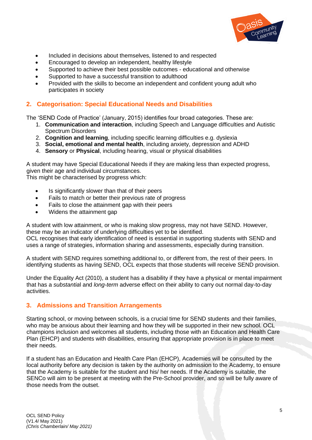

- Included in decisions about themselves, listened to and respected
- Encouraged to develop an independent, healthy lifestyle
- Supported to achieve their best possible outcomes educational and otherwise
- Supported to have a successful transition to adulthood
- Provided with the skills to become an independent and confident young adult who participates in society

## **2. Categorisation: Special Educational Needs and Disabilities**

The 'SEND Code of Practice' (January, 2015) identifies four broad categories. These are:

- 1. **Communication and interaction**, including Speech and Language difficulties and Autistic Spectrum Disorders
- 2. **Cognition and learning**, including specific learning difficulties e.g. dyslexia
- 3. **Social, emotional and mental health**, including anxiety, depression and ADHD
- 4. **Sensory** or **Physical**, including hearing, visual or physical disabilities

A student may have Special Educational Needs if they are making less than expected progress, given their age and individual circumstances.

This might be characterised by progress which:

- Is significantly slower than that of their peers
- Fails to match or better their previous rate of progress
- Fails to close the attainment gap with their peers
- Widens the attainment gap

A student with low attainment, or who is making slow progress, may not have SEND. However, these may be an indicator of underlying difficulties yet to be identified. OCL recognises that early identification of need is essential in supporting students with SEND and

uses a range of strategies, information sharing and assessments, especially during transition.

A student with SEND requires something additional to, or different from, the rest of their peers. In identifying students as having SEND, OCL expects that those students will receive SEND provision.

Under the Equality Act (2010), a student has a disability if they have a physical or mental impairment that has a *substantia*l and *long-term* adverse effect on their ability to carry out normal day-to-day activities.

## **3. Admissions and Transition Arrangements**

Starting school, or moving between schools, is a crucial time for SEND students and their families, who may be anxious about their learning and how they will be supported in their new school. OCL champions inclusion and welcomes all students, including those with an Education and Health Care Plan (EHCP) and students with disabilities, ensuring that appropriate provision is in place to meet their needs.

If a student has an Education and Health Care Plan (EHCP), Academies will be consulted by the local authority before any decision is taken by the authority on admission to the Academy, to ensure that the Academy is suitable for the student and his/ her needs. If the Academy is suitable, the SENCo will aim to be present at meeting with the Pre-School provider, and so will be fully aware of those needs from the outset.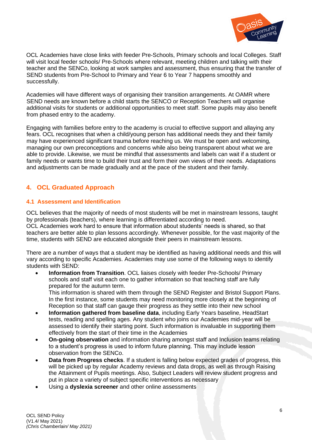

OCL Academies have close links with feeder Pre-Schools, Primary schools and local Colleges. Staff will visit local feeder schools/ Pre-Schools where relevant, meeting children and talking with their teacher and the SENCo, looking at work samples and assessment, thus ensuring that the transfer of SEND students from Pre-School to Primary and Year 6 to Year 7 happens smoothly and successfully.

Academies will have different ways of organising their transition arrangements. At OAMR where SEND needs are known before a child starts the SENCO or Reception Teachers will organise additional visits for students or additional opportunities to meet staff. Some pupils may also benefit from phased entry to the academy.

Engaging with families before entry to the academy is crucial to effective support and allaying any fears. OCL recognises that when a child/young person has additional needs they and their family may have experienced significant trauma before reaching us. We must be open and welcoming, managing our own preconceptions and concerns while also being transparent about what we are able to provide. Likewise, we must be mindful that assessments and labels can wait if a student or family needs or wants time to build their trust and form their own views of their needs. Adaptations and adjustments can be made gradually and at the pace of the student and their family.

## **4. OCL Graduated Approach**

## **4.1 Assessment and Identification**

OCL believes that the majority of needs of most students will be met in mainstream lessons, taught by professionals (teachers), where learning is differentiated according to need. OCL Academies work hard to ensure that information about students' needs is shared, so that

teachers are better able to plan lessons accordingly. Whenever possible, for the vast majority of the time, students with SEND are educated alongside their peers in mainstream lessons.

There are a number of ways that a student may be identified as having additional needs and this will vary according to specific Academies. Academies may use some of the following ways to identify students with SEND:

• **Information from Transition**. OCL liaises closely with feeder Pre-Schools/ Primary schools and staff visit each one to gather information so that teaching staff are fully prepared for the autumn term.

This information is shared with them through the SEND Register and Bristol Support Plans. In the first instance, some students may need monitoring more closely at the beginning of Reception so that staff can gauge their progress as they settle into their new school

- **Information gathered from baseline data**, including Early Years baseline, HeadStart tests, reading and spelling ages. Any student who joins our Academies mid-year will be assessed to identify their starting point. Such information is invaluable in supporting them effectively from the start of their time in the Academies
- **On-going observation** and information sharing amongst staff and Inclusion teams relating to a student's progress is used to inform future planning. This may include lesson observation from the SENCo.
- **Data from Progress checks**. If a student is falling below expected grades of progress, this will be picked up by regular Academy reviews and data drops, as well as through Raising the Attainment of Pupils meetings. Also, Subject Leaders will review student progress and put in place a variety of subject specific interventions as necessary
- Using a **dyslexia screener** and other online assessments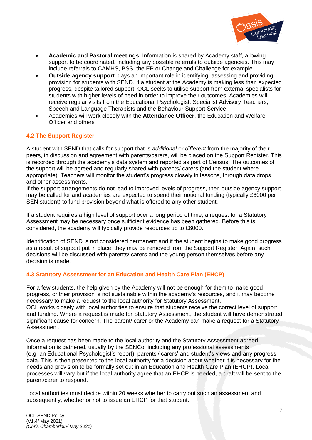

- **Academic and Pastoral meetings**. Information is shared by Academy staff, allowing support to be coordinated, including any possible referrals to outside agencies. This may include referrals to CAMHS, BSS, the EP or Change and Challenge for example
- **Outside agency support** plays an important role in identifying, assessing and providing provision for students with SEND. If a student at the Academy is making less than expected progress, despite tailored support, OCL seeks to utilise support from external specialists for students with higher levels of need in order to improve their outcomes. Academies will receive regular visits from the Educational Psychologist, Specialist Advisory Teachers, Speech and Language Therapists and the Behaviour Support Service
- Academies will work closely with the **Attendance Officer**, the Education and Welfare Officer and others

#### **4.2 The Support Register**

A student with SEND that calls for support that is *additional* or *different* from the majority of their peers, in discussion and agreement with parents/carers, will be placed on the Support Register. This is recorded through the academy's data system and reported as part of Census. The outcomes of the support will be agreed and regularly shared with parents/ carers (and the student where appropriate). Teachers will monitor the student's progress closely in lessons, through data drops and other assessments.

If the support arrangements do not lead to improved levels of progress, then outside agency support may be called for and academies are expected to spend their notional funding (typically £6000 per SEN student) to fund provision beyond what is offered to any other student.

If a student requires a high level of support over a long period of time, a request for a Statutory Assessment may be necessary once sufficient evidence has been gathered. Before this is considered, the academy will typically provide resources up to £6000.

Identification of SEND is not considered permanent and if the student begins to make good progress as a result of support put in place, they may be removed from the Support Register. Again, such decisions will be discussed with parents/ carers and the young person themselves before any decision is made.

#### **4.3 Statutory Assessment for an Education and Health Care Plan (EHCP)**

For a few students, the help given by the Academy will not be enough for them to make good progress, or their provision is not sustainable within the academy's resources, and it may become necessary to make a request to the local authority for Statutory Assessment. OCL works closely with local authorities to ensure that students receive the correct level of support and funding. Where a request is made for Statutory Assessment, the student will have demonstrated significant cause for concern. The parent/ carer or the Academy can make a request for a Statutory Assessment.

Once a request has been made to the local authority and the Statutory Assessment agreed, information is gathered, usually by the SENCo, including any professional assessments (e.g. an Educational Psychologist's report), parents'/ carers' and student's views and any progress data. This is then presented to the local authority for a decision about whether it is necessary for the needs and provision to be formally set out in an Education and Health Care Plan (EHCP). Local processes will vary but if the local authority agree that an EHCP is needed, a draft will be sent to the parent/carer to respond.

Local authorities must decide within 20 weeks whether to carry out such an assessment and subsequently, whether or not to issue an EHCP for that student.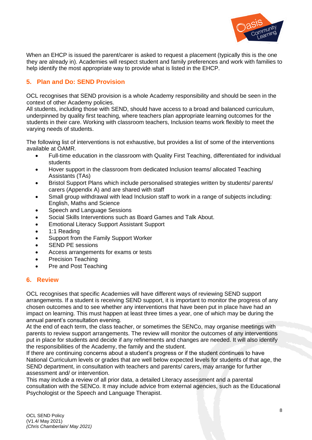

When an EHCP is issued the parent/carer is asked to request a placement (typically this is the one they are already in). Academies will respect student and family preferences and work with families to help identify the most appropriate way to provide what is listed in the EHCP.

## **5. Plan and Do: SEND Provision**

OCL recognises that SEND provision is a whole Academy responsibility and should be seen in the context of other Academy policies.

All students, including those with SEND, should have access to a broad and balanced curriculum, underpinned by quality first teaching, where teachers plan appropriate learning outcomes for the students in their care. Working with classroom teachers, Inclusion teams work flexibly to meet the varying needs of students.

The following list of interventions is not exhaustive, but provides a list of some of the interventions available at OAMR.

- Full-time education in the classroom with Quality First Teaching, differentiated for individual students
- Hover support in the classroom from dedicated Inclusion teams/ allocated Teaching Assistants (TAs)
- Bristol Support Plans which include personalised strategies written by students/ parents/ carers (Appendix A) and are shared with staff
- Small group withdrawal with lead Inclusion staff to work in a range of subjects including: English, Maths and Science
- Speech and Language Sessions
- Social Skills Interventions such as Board Games and Talk About.
- Emotional Literacy Support Assistant Support
- 1:1 Reading
- Support from the Family Support Worker
- SEND PE sessions
- Access arrangements for exams or tests
- Precision Teaching
- Pre and Post Teaching

## **6. Review**

OCL recognises that specific Academies will have different ways of reviewing SEND support arrangements. If a student is receiving SEND support, it is important to monitor the progress of any chosen outcomes and to see whether any interventions that have been put in place have had an impact on learning. This must happen at least three times a year, one of which may be during the annual parent's consultation evening.

At the end of each term, the class teacher, or sometimes the SENCo, may organise meetings with parents to review support arrangements. The review will monitor the outcomes of any interventions put in place for students and decide if any refinements and changes are needed. It will also identify the responsibilities of the Academy, the family and the student.

If there are continuing concerns about a student's progress or if the student continues to have National Curriculum levels or grades that are well below expected levels for students of that age, the SEND department, in consultation with teachers and parents/ carers, may arrange for further assessment and/ or intervention.

This may include a review of all prior data, a detailed Literacy assessment and a parental consultation with the SENCo. It may include advice from external agencies, such as the Educational Psychologist or the Speech and Language Therapist.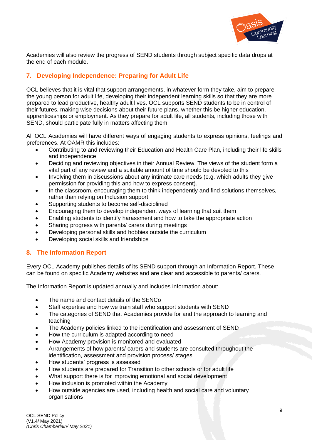

Academies will also review the progress of SEND students through subject specific data drops at the end of each module.

## **7. Developing Independence: Preparing for Adult Life**

OCL believes that it is vital that support arrangements, in whatever form they take, aim to prepare the young person for adult life, developing their independent learning skills so that they are more prepared to lead productive, healthy adult lives. OCL supports SEND students to be in control of their futures, making wise decisions about their future plans, whether this be higher education, apprenticeships or employment. As they prepare for adult life, all students, including those with SEND, should participate fully in matters affecting them.

All OCL Academies will have different ways of engaging students to express opinions, feelings and preferences. At OAMR this includes:

- Contributing to and reviewing their Education and Health Care Plan, including their life skills and independence
- Deciding and reviewing objectives in their Annual Review. The views of the student form a vital part of any review and a suitable amount of time should be devoted to this
- Involving them in discussions about any intimate care needs (e.g. which adults they give permission for providing this and how to express consent).
- In the classroom, encouraging them to think independently and find solutions themselves, rather than relying on Inclusion support
- Supporting students to become self-disciplined
- Encouraging them to develop independent ways of learning that suit them
- Enabling students to identify harassment and how to take the appropriate action
- Sharing progress with parents/ carers during meetings
- Developing personal skills and hobbies outside the curriculum
- Developing social skills and friendships

## **8. The Information Report**

Every OCL Academy publishes details of its SEND support through an Information Report. These can be found on specific Academy websites and are clear and accessible to parents/ carers.

The Information Report is updated annually and includes information about:

- The name and contact details of the SENCo
- Staff expertise and how we train staff who support students with SEND
- The categories of SEND that Academies provide for and the approach to learning and teaching
- The Academy policies linked to the identification and assessment of SEND
- How the curriculum is adapted according to need
- How Academy provision is monitored and evaluated
- Arrangements of how parents/ carers and students are consulted throughout the identification, assessment and provision process/ stages
- How students' progress is assessed
- How students are prepared for Transition to other schools or for adult life
- What support there is for improving emotional and social development
- How inclusion is promoted within the Academy
- How outside agencies are used, including health and social care and voluntary organisations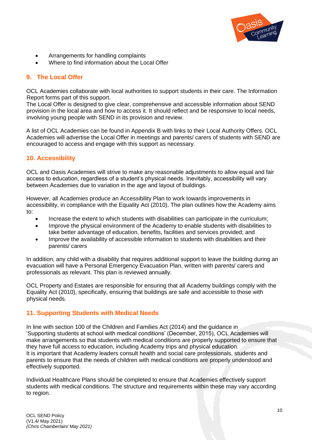

- Arrangements for handling complaints
- Where to find information about the Local Offer

## **9. The Local Offer**

OCL Academies collaborate with local authorities to support students in their care. The Information Report forms part of this support.

The Local Offer is designed to give clear, comprehensive and accessible information about SEND provision in the local area and how to access it. It should reflect and be responsive to local needs, involving young people with SEND in its provision and review.

A list of OCL Academies can be found in Appendix B with links to their Local Authority Offers. OCL Academies will advertise the Local Offer in meetings and parents/ carers of students with SEND are encouraged to access and engage with this support as necessary.

## **10. Accessibility**

OCL and Oasis Academies will strive to make any reasonable adjustments to allow equal and fair access to education, regardless of a student's physical needs. Inevitably, accessibility will vary between Academies due to variation in the age and layout of buildings.

However, all Academies produce an Accessibility Plan to work towards improvements in accessibility, in compliance with the Equality Act (2010). The plan outlines how the Academy aims to:

- Increase the extent to which students with disabilities can participate in the curriculum;
- Improve the physical environment of the Academy to enable students with disabilities to take better advantage of education, benefits, facilities and services provided; and
- Improve the availability of accessible information to students with disabilities and their parents/ carers

In addition, any child with a disability that requires additional support to leave the building during an evacuation will have a Personal Emergency Evacuation Plan, written with parents/ carers and professionals as relevant. This plan is reviewed annually.

OCL Property and Estates are responsible for ensuring that all Academy buildings comply with the Equality Act (2010), specifically, ensuring that buildings are safe and accessible to those with physical needs.

## **11. Supporting Students with Medical Needs**

In line with section 100 of the Children and Families Act (2014) and the guidance in 'Supporting students at school with medical conditions' (December, 2015), OCL Academies will make arrangements so that students with medical conditions are properly supported to ensure that they have full access to education, including Academy trips and physical education. It is important that Academy leaders consult health and social care professionals, students and parents to ensure that the needs of children with medical conditions are properly understood and effectively supported.

Individual Healthcare Plans should be completed to ensure that Academies effectively support students with medical conditions. The structure and requirements within these may vary according to region.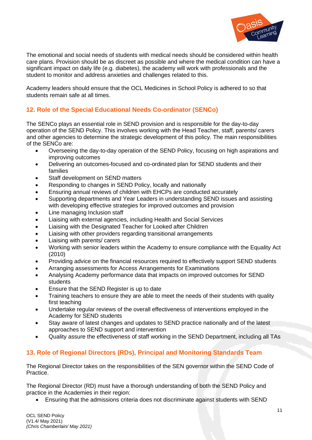

The emotional and social needs of students with medical needs should be considered within health care plans. Provision should be as discreet as possible and where the medical condition can have a significant impact on daily life (e.g. diabetes), the academy will work with professionals and the student to monitor and address anxieties and challenges related to this.

Academy leaders should ensure that the OCL Medicines in School Policy is adhered to so that students remain safe at all times.

## **12. Role of the Special Educational Needs Co-ordinator (SENCo)**

The SENCo plays an essential role in SEND provision and is responsible for the day-to-day operation of the SEND Policy. This involves working with the Head Teacher, staff, parents/ carers and other agencies to determine the strategic development of this policy. The main responsibilities of the SENCo are:

- Overseeing the day-to-day operation of the SEND Policy, focusing on high aspirations and improving outcomes
- Delivering an outcomes-focused and co-ordinated plan for SEND students and their families
- Staff development on SEND matters
- Responding to changes in SEND Policy, locally and nationally
- Ensuring annual reviews of children with EHCPs are conducted accurately
- Supporting departments and Year Leaders in understanding SEND issues and assisting with developing effective strategies for improved outcomes and provision
- Line managing Inclusion staff
- Liaising with external agencies, including Health and Social Services
- Liaising with the Designated Teacher for Looked after Children
- Liaising with other providers regarding transitional arrangements
- Liaising with parents/ carers
- Working with senior leaders within the Academy to ensure compliance with the Equality Act (2010)
- Providing advice on the financial resources required to effectively support SEND students
- Arranging assessments for Access Arrangements for Examinations
- Analysing Academy performance data that impacts on improved outcomes for SEND students
- Ensure that the SEND Register is up to date
- Training teachers to ensure they are able to meet the needs of their students with quality first teaching
- Undertake regular reviews of the overall effectiveness of interventions employed in the Academy for SEND students
- Stay aware of latest changes and updates to SEND practice nationally and of the latest approaches to SEND support and intervention
- Quality assure the effectiveness of staff working in the SEND Department, including all TAs

## **13. Role of Regional Directors (RDs), Principal and Monitoring Standards Team**

The Regional Director takes on the responsibilities of the SEN governor within the SEND Code of Practice.

The Regional Director (RD) must have a thorough understanding of both the SEND Policy and practice in the Academies in their region:

• Ensuring that the admissions criteria does not discriminate against students with SEND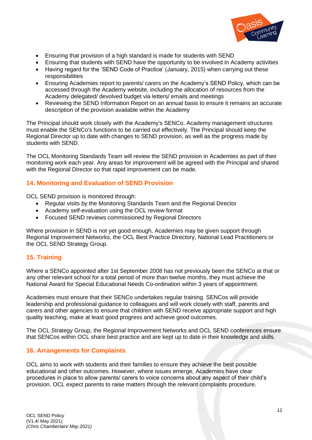

- Ensuring that provision of a high standard is made for students with SEND
- Ensuring that students with SEND have the opportunity to be involved in Academy activities
- Having regard for the 'SEND Code of Practice' (January, 2015) when carrying out these responsibilities
- Ensuring Academies report to parents/ carers on the Academy's SEND Policy, which can be accessed through the Academy website, including the allocation of resources from the Academy delegated/ devolved budget via letters/ emails and meetings
- Reviewing the SEND Information Report on an annual basis to ensure it remains an accurate description of the provision available within the Academy

The Principal should work closely with the Academy's SENCo. Academy management structures must enable the SENCo's functions to be carried out effectively. The Principal should keep the Regional Director up to date with changes to SEND provision, as well as the progress made by students with SEND.

The OCL Monitoring Standards Team will review the SEND provision in Academies as part of their monitoring work each year. Any areas for improvement will be agreed with the Principal and shared with the Regional Director so that rapid improvement can be made.

## **14. Monitoring and Evaluation of SEND Provision**

OCL SEND provision is monitored through:

- Regular visits by the Monitoring Standards Team and the Regional Director
- Academy self-evaluation using the OCL review format
- Focused SEND reviews commissioned by Regional Directors

Where provision in SEND is not yet good enough, Academies may be given support through Regional Improvement Networks, the OCL Best Practice Directory, National Lead Practitioners or the OCL SEND Strategy Group.

## **15. Training**

Where a SENCo appointed after 1st September 2008 has not previously been the SENCo at that or any other relevant school for a total period of more than twelve months, they must achieve the National Award for Special Educational Needs Co-ordination within 3 years of appointment.

Academies must ensure that their SENCo undertakes regular training. SENCos will provide leadership and professional guidance to colleagues and will work closely with staff, parents and carers and other agencies to ensure that children with SEND receive appropriate support and high quality teaching, make at least good progress and achieve good outcomes.

The OCL Strategy Group, the Regional Improvement Networks and OCL SEND conferences ensure that SENCos within OCL share best practice and are kept up to date in their knowledge and skills.

## **16. Arrangements for Complaints**

OCL aims to work with students and their families to ensure they achieve the best possible educational and other outcomes. However, where issues emerge, Academies have clear procedures in place to allow parents/ carers to voice concerns about any aspect of their child's provision. OCL expect parents to raise matters through the relevant complaints procedure.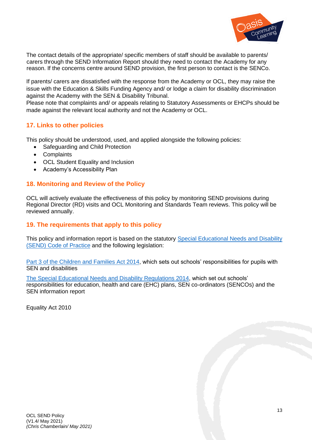

The contact details of the appropriate/ specific members of staff should be available to parents/ carers through the SEND Information Report should they need to contact the Academy for any reason. If the concerns centre around SEND provision, the first person to contact is the SENCo.

If parents/ carers are dissatisfied with the response from the Academy or OCL, they may raise the issue with the Education & Skills Funding Agency and/ or lodge a claim for disability discrimination against the Academy with the SEN & Disability Tribunal.

Please note that complaints and/ or appeals relating to Statutory Assessments or EHCPs should be made against the relevant local authority and not the Academy or OCL.

## **17. Links to other policies**

This policy should be understood, used, and applied alongside the following policies:

- Safeguarding and Child Protection
- Complaints
- OCL Student Equality and Inclusion
- Academy's Accessibility Plan

#### **18. Monitoring and Review of the Policy**

OCL will actively evaluate the effectiveness of this policy by monitoring SEND provisions during Regional Director (RD) visits and OCL Monitoring and Standards Team reviews. This policy will be reviewed annually.

#### **19. The requirements that apply to this policy**

This policy and information report is based on the statutory [Special Educational Needs and Disability](https://www.gov.uk/government/uploads/system/uploads/attachment_data/file/398815/SEND_Code_of_Practice_January_2015.pdf)  [\(SEND\) Code of](https://www.gov.uk/government/uploads/system/uploads/attachment_data/file/398815/SEND_Code_of_Practice_January_2015.pdf) Practice and the following legislation:

[Part 3 of the Children and Families Act 2014,](http://www.legislation.gov.uk/ukpga/2014/6/part/3) which sets out schools' responsibilities for pupils with SEN and disabilities

[The Special Educational Needs and Disability Regulations 2014,](http://www.legislation.gov.uk/uksi/2014/1530/contents/made) which set out schools' responsibilities for education, health and care (EHC) plans, SEN co-ordinators (SENCOs) and the SEN information report

Equality Act 2010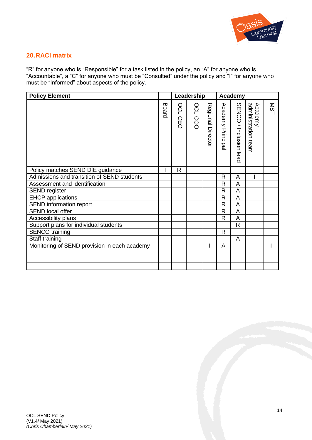

## **20.RACI matrix**

"R" for anyone who is "Responsible" for a task listed in the policy, an "A" for anyone who is "Accountable", a "C" for anyone who must be "Consulted" under the policy and "I" for anyone who must be "Informed" about aspects of the policy.

| <b>Policy Element</b>                        |       |                              | Leadership     |                   | <b>Academy</b>          |                        |                                |            |
|----------------------------------------------|-------|------------------------------|----------------|-------------------|-------------------------|------------------------|--------------------------------|------------|
|                                              | Board | OCL<br>ČĒ.<br>$\overline{O}$ | <b>OCL COO</b> | Regional Director | Academy Principal       | SENCO / Inclusion lead | Academy<br>administration team | <b>NST</b> |
| Policy matches SEND DfE guidance             |       | $\mathsf{R}$                 |                |                   |                         |                        |                                |            |
| Admissions and transition of SEND students   |       |                              |                |                   | R                       | A                      |                                |            |
| Assessment and identification                |       |                              |                |                   | R                       | A                      |                                |            |
| <b>SEND register</b>                         |       |                              |                |                   | R                       | A                      |                                |            |
| <b>EHCP</b> applications                     |       |                              |                |                   | $\mathsf{R}$            | A                      |                                |            |
| SEND information report                      |       |                              |                |                   | R                       | A                      |                                |            |
| <b>SEND local offer</b>                      |       |                              |                |                   | R                       | A                      |                                |            |
| Accessibility plans                          |       |                              |                |                   | $\overline{\mathsf{R}}$ | A                      |                                |            |
| Support plans for individual students        |       |                              |                |                   |                         | $\mathsf{R}$           |                                |            |
| <b>SENCO</b> training                        |       |                              |                |                   | R                       |                        |                                |            |
| Staff training                               |       |                              |                |                   |                         | A                      |                                |            |
| Monitoring of SEND provision in each academy |       |                              |                |                   | A                       |                        |                                |            |
|                                              |       |                              |                |                   |                         |                        |                                |            |
|                                              |       |                              |                |                   |                         |                        |                                |            |
|                                              |       |                              |                |                   |                         |                        |                                |            |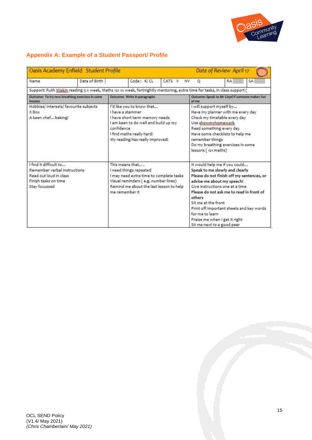

## **Appendix A: Example of a Student Passport/ Profile**

| Oasis Academy Enfield Student Profile<br>Date of Review April 17                                                          |               |                                                                                                                                                                                                       |            |                                                                                                                                                                                                                                                                                                                                                                                          |                                                                                                                                                                                                                                                                   |           |    |
|---------------------------------------------------------------------------------------------------------------------------|---------------|-------------------------------------------------------------------------------------------------------------------------------------------------------------------------------------------------------|------------|------------------------------------------------------------------------------------------------------------------------------------------------------------------------------------------------------------------------------------------------------------------------------------------------------------------------------------------------------------------------------------------|-------------------------------------------------------------------------------------------------------------------------------------------------------------------------------------------------------------------------------------------------------------------|-----------|----|
| Name                                                                                                                      | Date of Birth |                                                                                                                                                                                                       | Code: K/CL | CATS V<br><b>NV</b>                                                                                                                                                                                                                                                                                                                                                                      | $\circ$                                                                                                                                                                                                                                                           | <b>RA</b> | SA |
| Support: Ruth Miskin reading 3 x week, Maths 121 1x week, fortnightly mentoring, extra time for tasks, in class support ( |               |                                                                                                                                                                                                       |            |                                                                                                                                                                                                                                                                                                                                                                                          |                                                                                                                                                                                                                                                                   |           |    |
| Outcome: To try new breathing exercises in some<br>lessons                                                                |               | Outcome: Write in paragraphs                                                                                                                                                                          |            |                                                                                                                                                                                                                                                                                                                                                                                          | Outcome: Speak to Mr Lloyd if someone makes fun<br>of me                                                                                                                                                                                                          |           |    |
| Hobbies/ Interests/ favourite subjects<br>X Box<br>A keen chef baking!                                                    |               | I'd like you to know that<br>I have a stammer<br>I have short term memory needs<br>I am keen to do well and build up my<br>confidence<br>I find maths really hard!<br>My reading has really improved! |            |                                                                                                                                                                                                                                                                                                                                                                                          | I will support myself by<br>Have my planner with me every day<br>Check my timetable every day<br>Use showmyhomework<br>Read something every day<br>Have some checklists to help me<br>remember things<br>Do my breathing exercises in some<br>lessons (121 maths) |           |    |
| I find it difficult to<br>Remember verbal instructions<br>Read out loud in class<br>Finish tasks on time<br>Stay focussed |               | This means that<br>I need things repeated<br>I may need extra time to complete tasks<br>Visual reminders (e.g. number lines)<br>Remind me about the last lesson to help<br>me remember it.            |            | It would help me if you could<br>Speak to me slowly and clearly<br>Please do not finish off my sentences, or<br>advise me about my speech!<br>Give instructions one at a time<br>Please do not ask me to read in front of<br>others<br>Sit me at the front<br>Print off important sheets and key words<br>for me to learn<br>Praise me when I get it right<br>Sit me next to a good peer |                                                                                                                                                                                                                                                                   |           |    |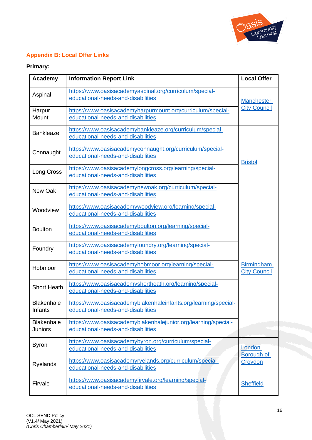

## **Appendix B: Local Offer Links**

## **Primary:**

| Academy                             | <b>Information Report Link</b>                                                                        | <b>Local Offer</b>                       |  |
|-------------------------------------|-------------------------------------------------------------------------------------------------------|------------------------------------------|--|
| Aspinal                             | https://www.oasisacademyaspinal.org/curriculum/special-<br>educational-needs-and-disabilities         | <b>Manchester</b>                        |  |
| Harpur<br>Mount                     | https://www.oasisacademyharpurmount.org/curriculum/special-<br>educational-needs-and-disabilities     | <b>City Council</b>                      |  |
| <b>Bankleaze</b>                    | https://www.oasisacademybankleaze.org/curriculum/special-<br>educational-needs-and-disabilities       |                                          |  |
| Connaught                           | https://www.oasisacademyconnaught.org/curriculum/special-<br>educational-needs-and-disabilities       | <b>Bristol</b>                           |  |
| Long Cross                          | https://www.oasisacademylongcross.org/learning/special-<br>educational-needs-and-disabilities         |                                          |  |
| New Oak                             | https://www.oasisacademynewoak.org/curriculum/special-<br>educational-needs-and-disabilities          |                                          |  |
| Woodview                            | https://www.oasisacademywoodview.org/learning/special-<br>educational-needs-and-disabilities          |                                          |  |
| <b>Boulton</b>                      | https://www.oasisacademyboulton.org/learning/special-<br>educational-needs-and-disabilities           |                                          |  |
| Foundry                             | https://www.oasisacademyfoundry.org/learning/special-<br>educational-needs-and-disabilities           |                                          |  |
| Hobmoor                             | https://www.oasisacademyhobmoor.org/learning/special-<br>educational-needs-and-disabilities           | <b>Birmingham</b><br><b>City Council</b> |  |
| <b>Short Heath</b>                  | https://www.oasisacademyshortheath.org/learning/special-<br>educational-needs-and-disabilities        |                                          |  |
| <b>Blakenhale</b><br>Infants        | https://www.oasisacademyblakenhaleinfants.org/learning/special-<br>educational-needs-and-disabilities |                                          |  |
| <b>Blakenhale</b><br><b>Juniors</b> | https://www.oasisacademyblakenhalejunior.org/learning/special-<br>educational-needs-and-disabilities  |                                          |  |
| <b>Byron</b>                        | https://www.oasisacademybyron.org/curriculum/special-<br>educational-needs-and-disabilities           | London<br><b>Borough of</b>              |  |
| <b>Ryelands</b>                     | https://www.oasisacademyryelands.org/curriculum/special-<br>educational-needs-and-disabilities        | Croydon                                  |  |
| Firvale                             | https://www.oasisacademyfirvale.org/learning/special-<br>educational-needs-and-disabilities           | <b>Sheffield</b>                         |  |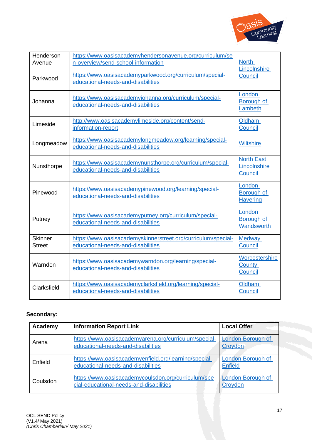

| Henderson<br>Avenue             | https://www.oasisacademyhendersonavenue.org/curriculum/se<br>n-overview/send-school-information     | <b>North</b><br>Lincolnshire                 |
|---------------------------------|-----------------------------------------------------------------------------------------------------|----------------------------------------------|
| Parkwood                        | https://www.oasisacademyparkwood.org/curriculum/special-<br>educational-needs-and-disabilities      | Council                                      |
| Johanna                         | https://www.oasisacademyjohanna.org/curriculum/special-<br>educational-needs-and-disabilities       | London<br>Borough of<br>Lambeth              |
| Limeside                        | http://www.oasisacademylimeside.org/content/send-<br>information-report                             | <b>Oldham</b><br>Council                     |
| Longmeadow                      | https://www.oasisacademylongmeadow.org/learning/special-<br>educational-needs-and-disabilities      | <b>Wiltshire</b>                             |
| Nunsthorpe                      | https://www.oasisacademynunsthorpe.org/curriculum/special-<br>educational-needs-and-disabilities    | <b>North East</b><br>Lincolnshire<br>Council |
| Pinewood                        | https://www.oasisacademypinewood.org/learning/special-<br>educational-needs-and-disabilities        | London<br>Borough of<br><b>Havering</b>      |
| Putney                          | https://www.oasisacademyputney.org/curriculum/special-<br>educational-needs-and-disabilities        | London<br>Borough of<br>Wandsworth           |
| <b>Skinner</b><br><b>Street</b> | https://www.oasisacademyskinnerstreet.org/curriculum/special-<br>educational-needs-and-disabilities | <b>Medway</b><br>Council                     |
| Warndon                         | https://www.oasisacademywarndon.org/learning/special-<br>educational-needs-and-disabilities         | Worcestershire<br>County<br>Council          |
| Clarksfield                     | https://www.oasisacademyclarksfield.org/learning/special-<br>educational-needs-and-disabilities     | <b>Oldham</b><br>Council                     |

## **Secondary:**

| Academy  | <b>Information Report Link</b>                                                                 | <b>Local Offer</b>                         |
|----------|------------------------------------------------------------------------------------------------|--------------------------------------------|
| Arena    | https://www.oasisacademyarena.org/curriculum/special-<br>educational-needs-and-disabilities    | <b>London Borough of</b><br>Croydon        |
| Enfield  | https://www.oasisacademyenfield.org/learning/special-<br>educational-needs-and-disabilities    | <b>London Borough of</b><br><b>Enfield</b> |
| Coulsdon | https://www.oasisacademycoulsdon.org/curriculum/spe<br>cial-educational-needs-and-disabilities | <b>London Borough of</b><br>Croydon        |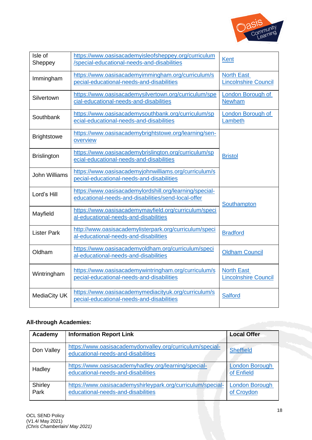

| Isle of<br>Sheppey   | https://www.oasisacademyisleofsheppey.org/curriculum<br>/special-educational-needs-and-disabilities            | <b>Kent</b>                                      |  |
|----------------------|----------------------------------------------------------------------------------------------------------------|--------------------------------------------------|--|
| Immingham            | https://www.oasisacademyimmingham.org/curriculum/s<br>pecial-educational-needs-and-disabilities                | <b>North East</b><br><b>Lincolnshire Council</b> |  |
| Silvertown           | https://www.oasisacademysilvertown.org/curriculum/spe<br>cial-educational-needs-and-disabilities               | <b>London Borough of</b><br><b>Newham</b>        |  |
| Southbank            | https://www.oasisacademysouthbank.org/curriculum/sp<br>ecial-educational-needs-and-disabilities                | London Borough of<br>Lambeth                     |  |
| <b>Brightstowe</b>   | https://www.oasisacademybrightstowe.org/learning/sen-<br>overview                                              |                                                  |  |
| <b>Brislington</b>   | https://www.oasisacademybrislington.org/curriculum/sp<br>ecial-educational-needs-and-disabilities              | <b>Bristol</b>                                   |  |
| <b>John Williams</b> | https://www.oasisacademyjohnwilliams.org/curriculum/s<br>pecial-educational-needs-and-disabilities             |                                                  |  |
| Lord's Hill          | https://www.oasisacademylordshill.org/learning/special-<br>educational-needs-and-disabilities/send-local-offer | Southampton                                      |  |
| Mayfield             | https://www.oasisacademymayfield.org/curriculum/speci<br>al-educational-needs-and-disabilities                 |                                                  |  |
| <b>Lister Park</b>   | http://www.oasisacademylisterpark.org/curriculum/speci<br>al-educational-needs-and-disabilities                | <b>Bradford</b>                                  |  |
| Oldham               | https://www.oasisacademyoldham.org/curriculum/speci<br>al-educational-needs-and-disabilities                   | <b>Oldham Council</b>                            |  |
| Wintringham          | https://www.oasisacademywintringham.org/curriculum/s<br>pecial-educational-needs-and-disabilities              | <b>North East</b><br><b>Lincolnshire Council</b> |  |
| MediaCity UK         | https://www.oasisacademymediacityuk.org/curriculum/s<br>pecial-educational-needs-and-disabilities              | <b>Salford</b>                                   |  |

## **All-through Academies:**

| Academy         | <b>Information Report Link</b>                                                                    | <b>Local Offer</b>                  |
|-----------------|---------------------------------------------------------------------------------------------------|-------------------------------------|
| Don Valley      | https://www.oasisacademydonvalley.org/curriculum/special-<br>educational-needs-and-disabilities   | <b>Sheffield</b>                    |
| Hadley          | https://www.oasisacademyhadley.org/learning/special-<br>educational-needs-and-disabilities        | <b>London Borough</b><br>of Enfield |
| Shirley<br>Park | https://www.oasisacademyshirleypark.org/curriculum/special-<br>educational-needs-and-disabilities | <b>London Borough</b><br>of Croydon |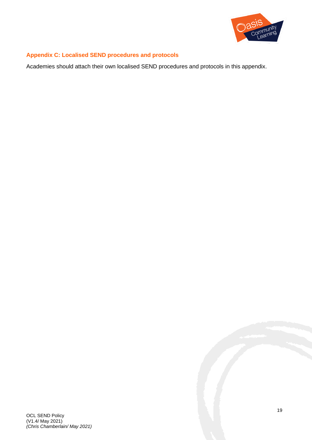

## **Appendix C: Localised SEND procedures and protocols**

Academies should attach their own localised SEND procedures and protocols in this appendix.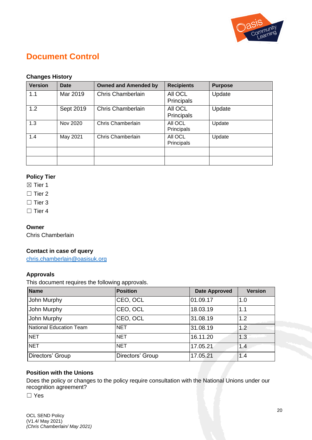

## **Document Control**

## **Changes History**

| <b>Version</b> | Date      | <b>Owned and Amended by</b> | <b>Recipients</b>     | <b>Purpose</b> |
|----------------|-----------|-----------------------------|-----------------------|----------------|
| 1.1            | Mar 2019  | <b>Chris Chamberlain</b>    | All OCL<br>Principals | Update         |
| 1.2            | Sept 2019 | <b>Chris Chamberlain</b>    | All OCL<br>Principals | Update         |
| 1.3            | Nov 2020  | Chris Chamberlain           | All OCL<br>Principals | Update         |
| 1.4            | May 2021  | Chris Chamberlain           | All OCL<br>Principals | Update         |
|                |           |                             |                       |                |
|                |           |                             |                       |                |

## **Policy Tier**

- ⊠ Tier 1
- □ Tier 2
- □ Tier 3
- □ Tier 4

## **Owner**

Chris Chamberlain

## **Contact in case of query**

[chris.chamberlain@oasisuk.org](mailto:chris.chamberlain@oasisuk.org)

## **Approvals**

This document requires the following approvals.

| <b>Name</b>                    | <b>Position</b>  | <b>Date Approved</b> | <b>Version</b> |
|--------------------------------|------------------|----------------------|----------------|
| John Murphy                    | CEO, OCL         | 01.09.17             | 1.0            |
| John Murphy                    | CEO, OCL         | 18.03.19             | 1.1            |
| John Murphy                    | CEO, OCL         | 31.08.19             | 1.2            |
| <b>National Education Team</b> | <b>NET</b>       | 31.08.19             | 1.2            |
| <b>NET</b>                     | <b>NET</b>       | 16.11.20             | 1.3            |
| <b>NET</b>                     | <b>NET</b>       | 17.05.21             | 1.4            |
| Directors' Group               | Directors' Group | 17.05.21             | 1.4            |

## **Position with the Unions**

Does the policy or changes to the policy require consultation with the National Unions under our recognition agreement?

☐ Yes